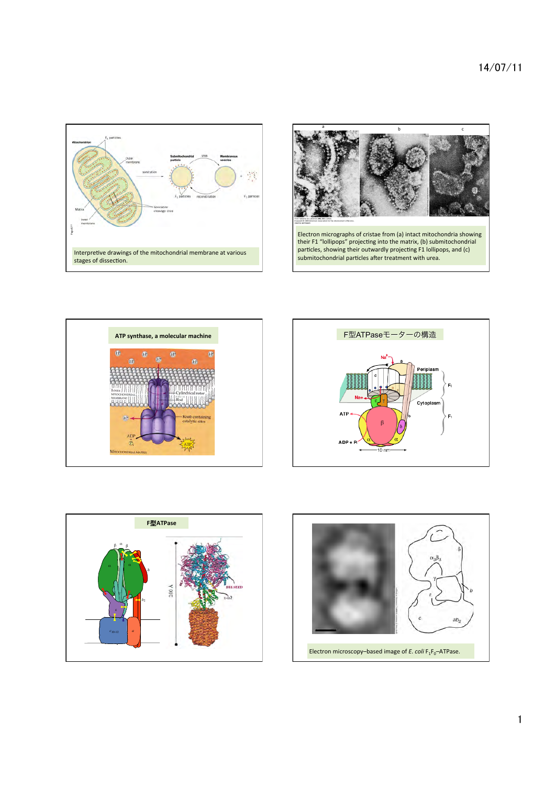









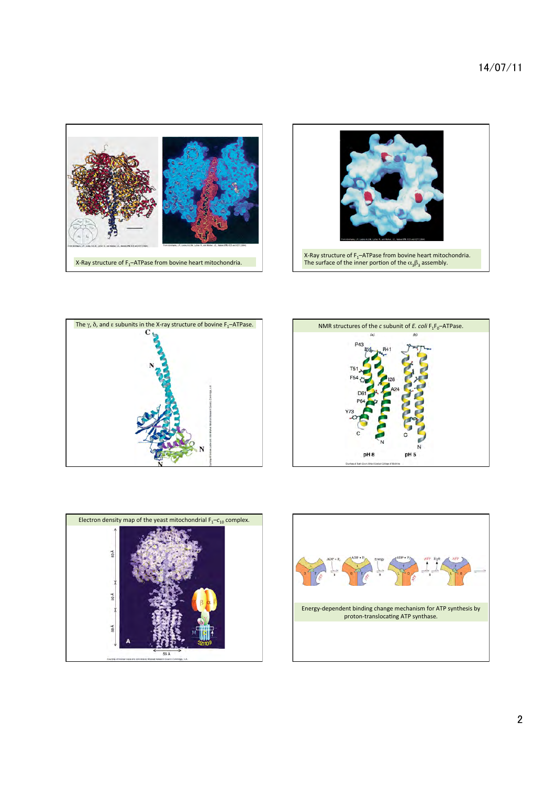









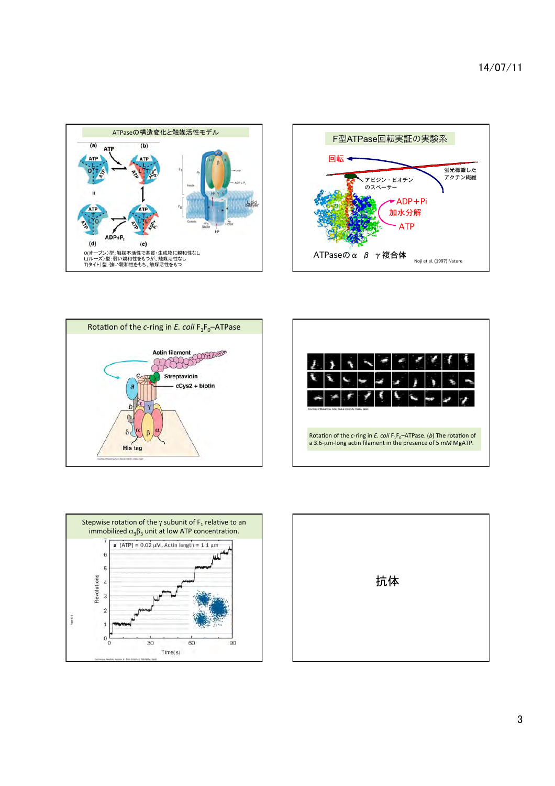





|  | Courtesy of Masamitsu Futai, Osaka University, Osaka, Japan |  |  |  |  |
|--|-------------------------------------------------------------|--|--|--|--|



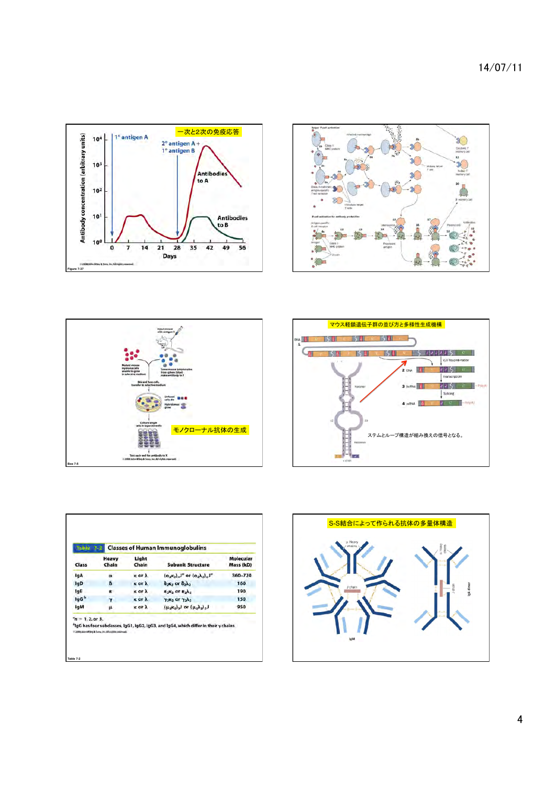14/07/11









| <b>Table</b><br>Class | <b>Classes of Human Immunoglobulins</b> |                       |                                                                                                  |                               |  |  |  |
|-----------------------|-----------------------------------------|-----------------------|--------------------------------------------------------------------------------------------------|-------------------------------|--|--|--|
|                       | Heavy<br>Chain                          | Light<br>Chain        | <b>Subunit Structure</b>                                                                         | <b>Molecular</b><br>Mass (kD) |  |  |  |
| <b>IqA</b>            | $\alpha$                                | <b>K OF A</b>         | $(\alpha_2 \kappa_2)_{\alpha} J^{\alpha}$ or $(\alpha_2 \lambda_2)_{\alpha} J^{\alpha}$          | 360-720                       |  |  |  |
| lgD                   | 8                                       | k or A                | $\delta_2$ <sub>K<sub>2</sub></sub> or $\delta_2 \lambda_2$                                      | 160                           |  |  |  |
| lgE                   | ε                                       | <b>K</b> or $\lambda$ | $E_2K_2$ or $E_2\lambda_2$                                                                       | 190                           |  |  |  |
| lgG <sup>b</sup>      | v                                       | <b>K</b> or $\lambda$ | $\gamma_2$ <sub>K<sub>2</sub></sub> or $\gamma_2\lambda_2$                                       | 150                           |  |  |  |
| lgM                   | μ                                       | κ or λ                | $(\mu_2 \kappa_2)$ <sub>2</sub> ) or $(\mu_2 \lambda_2)$ <sub>5</sub> )                          | 950                           |  |  |  |
| $n = 1, 2$ or 3.      |                                         |                       |                                                                                                  |                               |  |  |  |
|                       |                                         |                       | <sup>b</sup> lgG has four subclasses, IgG1, IgG2, IgG3, and IgG4, which differ in their y chains |                               |  |  |  |